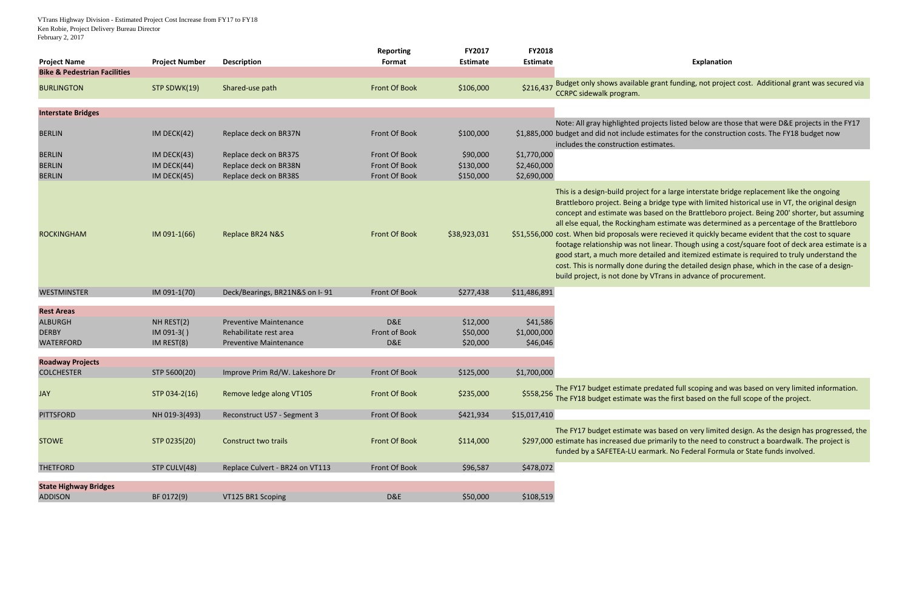VTrans Highway Division - Estimated Project Cost Increase from FY17 to FY18 Ken Robie, Project Delivery Bureau Director February 2, 2017

| <b>Project Name</b>                            | <b>Project Number</b> | <b>Description</b>              | <b>Reporting</b><br>Format | FY2017<br><b>Estimate</b> | FY2018<br><b>Estimate</b> |                                                                                                                                                                                                                                                                                                                                                                |
|------------------------------------------------|-----------------------|---------------------------------|----------------------------|---------------------------|---------------------------|----------------------------------------------------------------------------------------------------------------------------------------------------------------------------------------------------------------------------------------------------------------------------------------------------------------------------------------------------------------|
| <b>Bike &amp; Pedestrian Facilities</b>        |                       |                                 |                            |                           |                           |                                                                                                                                                                                                                                                                                                                                                                |
| <b>BURLINGTON</b>                              | STP SDWK(19)          | Shared-use path                 | <b>Front Of Book</b>       | \$106,000                 | \$216,437                 | Budget only shows available grant<br><b>CCRPC sidewalk program.</b>                                                                                                                                                                                                                                                                                            |
| <b>Interstate Bridges</b>                      |                       |                                 |                            |                           |                           |                                                                                                                                                                                                                                                                                                                                                                |
| <b>BERLIN</b>                                  | IM DECK $(42)$        | Replace deck on BR37N           | Front Of Book              | \$100,000                 |                           | Note: All gray highlighted projects<br>\$1,885,000 budget and did not include estima<br>includes the construction estimate                                                                                                                                                                                                                                     |
| <b>BERLIN</b>                                  | IM DECK $(43)$        | Replace deck on BR37S           | Front Of Book              | \$90,000                  | \$1,770,000               |                                                                                                                                                                                                                                                                                                                                                                |
| <b>BERLIN</b>                                  | IM DECK(44)           | Replace deck on BR38N           | Front Of Book              | \$130,000                 | \$2,460,000               |                                                                                                                                                                                                                                                                                                                                                                |
| <b>BERLIN</b>                                  | IM DECK(45)           | Replace deck on BR38S           | Front Of Book              | \$150,000                 | \$2,690,000               |                                                                                                                                                                                                                                                                                                                                                                |
| <b>ROCKINGHAM</b>                              | IM 091-1(66)          | Replace BR24 N&S                | <b>Front Of Book</b>       | \$38,923,031              |                           | This is a design-build project for a<br>Brattleboro project. Being a bridge<br>concept and estimate was based o<br>all else equal, the Rockingham est<br>\$51,556,000 cost. When bid proposals were rea<br>footage relationship was not linea<br>good start, a much more detailed<br>cost. This is normally done during<br>build project, is not done by VTrar |
| <b>WESTMINSTER</b>                             | IM 091-1(70)          | Deck/Bearings, BR21N&S on I-91  | Front Of Book              | \$277,438                 | \$11,486,891              |                                                                                                                                                                                                                                                                                                                                                                |
| <b>Rest Areas</b>                              |                       |                                 |                            |                           |                           |                                                                                                                                                                                                                                                                                                                                                                |
| <b>ALBURGH</b>                                 | NH REST(2)            | <b>Preventive Maintenance</b>   | D&E                        | \$12,000                  | \$41,586                  |                                                                                                                                                                                                                                                                                                                                                                |
| <b>DERBY</b>                                   | $IM$ 091-3()          | Rehabilitate rest area          | Front of Book              | \$50,000                  | \$1,000,000               |                                                                                                                                                                                                                                                                                                                                                                |
| <b>WATERFORD</b>                               | IM REST(8)            | <b>Preventive Maintenance</b>   | D&E                        | \$20,000                  | \$46,046                  |                                                                                                                                                                                                                                                                                                                                                                |
|                                                |                       |                                 |                            |                           |                           |                                                                                                                                                                                                                                                                                                                                                                |
| <b>Roadway Projects</b>                        |                       |                                 |                            |                           |                           |                                                                                                                                                                                                                                                                                                                                                                |
| <b>COLCHESTER</b>                              | STP 5600(20)          | Improve Prim Rd/W. Lakeshore Dr | Front Of Book              | \$125,000                 | \$1,700,000               |                                                                                                                                                                                                                                                                                                                                                                |
| <b>JAY</b>                                     | STP 034-2(16)         | Remove ledge along VT105        | <b>Front Of Book</b>       | \$235,000                 | \$558,256                 | The FY17 budget estimate predate<br>The FY18 budget estimate was the                                                                                                                                                                                                                                                                                           |
| <b>PITTSFORD</b>                               | NH 019-3(493)         | Reconstruct US7 - Segment 3     | Front Of Book              | \$421,934                 | \$15,017,410              |                                                                                                                                                                                                                                                                                                                                                                |
| <b>STOWE</b>                                   | STP 0235(20)          | <b>Construct two trails</b>     | <b>Front Of Book</b>       | \$114,000                 |                           | The FY17 budget estimate was ba:<br>\$297,000 estimate has increased due prima<br>funded by a SAFETEA-LU earmark.                                                                                                                                                                                                                                              |
| <b>THETFORD</b>                                | STP CULV(48)          | Replace Culvert - BR24 on VT113 | Front Of Book              | \$96,587                  | \$478,072                 |                                                                                                                                                                                                                                                                                                                                                                |
| <b>State Highway Bridges</b><br><b>ADDISON</b> | BF 0172(9)            | VT125 BR1 Scoping               | D&E                        | \$50,000                  | \$108,519                 |                                                                                                                                                                                                                                                                                                                                                                |
|                                                |                       |                                 |                            |                           |                           |                                                                                                                                                                                                                                                                                                                                                                |

## **Explanation**

t funding, not project cost. Additional grant was secured via

s listed below are those that were D&E projects in the FY17 ates for the construction costs. The FY18 budget now es.

large interstate bridge replacement like the ongoing e type with limited historical use in VT, the original design on the Brattleboro project. Being 200' shorter, but assuming timate was determined as a percentage of the Brattleboro cieved it quickly became evident that the cost to square ar. Though using a cost/square foot of deck area estimate is a and itemized estimate is required to truly understand the the detailed design phase, which in the case of a designns in advance of procurement.

ed full scoping and was based on very limited information. e first based on the full scope of the project.

sed on very limited design. As the design has progressed, the irily to the need to construct a boardwalk. The project is . No Federal Formula or State funds involved.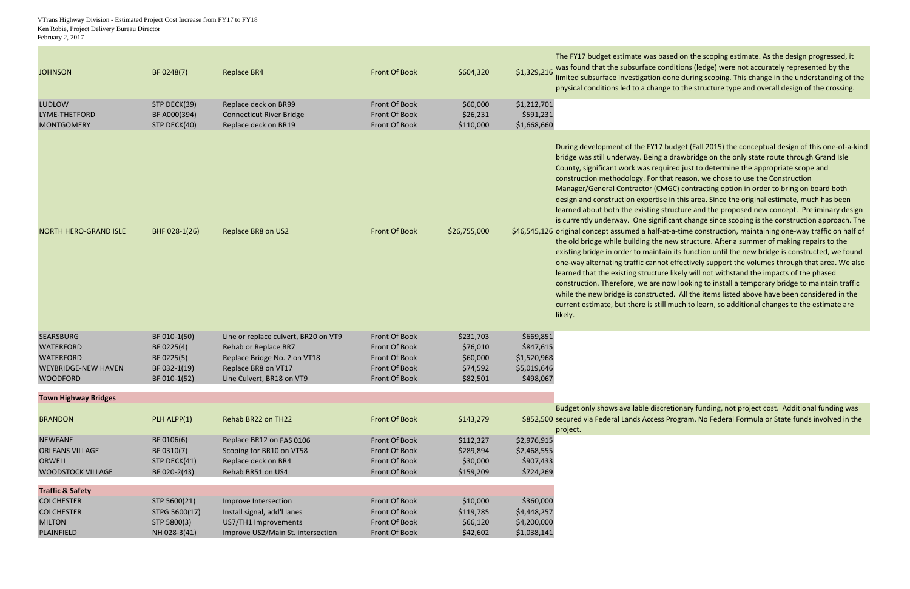VTrans Highway Division - Estimated Project Cost Increase from FY17 to FY18 Ken Robie, Project Delivery Bureau Director February 2, 2017

| \$1,329,216<br>Front Of Book<br>\$604,320<br><b>JOHNSON</b><br>BF 0248(7)<br><b>Replace BR4</b>                     | was found that the subsurface co<br>limited subsurface investigation o                                                                                                                                                                                                                                                                                                                                                                                                                                                                                                                                                            |
|---------------------------------------------------------------------------------------------------------------------|-----------------------------------------------------------------------------------------------------------------------------------------------------------------------------------------------------------------------------------------------------------------------------------------------------------------------------------------------------------------------------------------------------------------------------------------------------------------------------------------------------------------------------------------------------------------------------------------------------------------------------------|
|                                                                                                                     |                                                                                                                                                                                                                                                                                                                                                                                                                                                                                                                                                                                                                                   |
|                                                                                                                     | physical conditions led to a chang                                                                                                                                                                                                                                                                                                                                                                                                                                                                                                                                                                                                |
| <b>LUDLOW</b><br>Front Of Book<br>STP DECK(39)<br>Replace deck on BR99<br>\$60,000<br>\$1,212,701                   |                                                                                                                                                                                                                                                                                                                                                                                                                                                                                                                                                                                                                                   |
| \$26,231<br>\$591,231<br>LYME-THETFORD<br>BF A000(394)<br><b>Connecticut River Bridge</b><br>Front Of Book          |                                                                                                                                                                                                                                                                                                                                                                                                                                                                                                                                                                                                                                   |
| Replace deck on BR19<br>\$110,000<br>\$1,668,660<br>STP DECK(40)<br>Front Of Book<br><b>MONTGOMERY</b>              |                                                                                                                                                                                                                                                                                                                                                                                                                                                                                                                                                                                                                                   |
| BHF 028-1(26)<br>Replace BR8 on US2<br>Front Of Book<br>\$26,755,000<br><b>NORTH HERO-GRAND ISLE</b>                | During development of the FY17<br>bridge was still underway. Being<br>County, significant work was requ<br>construction methodology. For th<br>Manager/General Contractor (CN<br>design and construction expertise<br>learned about both the existing s<br>is currently underway. One signif<br>\$46,545,126 original concept assumed a half-a<br>the old bridge while building the<br>existing bridge in order to mainta<br>one-way alternating traffic canno<br>learned that the existing structur<br>construction. Therefore, we are r<br>while the new bridge is construct<br>current estimate, but there is still<br>likely. |
| <b>SEARSBURG</b><br>\$669,851<br>BF 010-1(50)<br>Line or replace culvert, BR20 on VT9<br>Front Of Book<br>\$231,703 |                                                                                                                                                                                                                                                                                                                                                                                                                                                                                                                                                                                                                                   |
| Rehab or Replace BR7<br>\$76,010<br>\$847,615<br><b>WATERFORD</b><br>BF 0225(4)<br>Front Of Book                    |                                                                                                                                                                                                                                                                                                                                                                                                                                                                                                                                                                                                                                   |
| <b>WATERFORD</b><br>Front Of Book<br>\$60,000<br>BF 0225(5)<br>Replace Bridge No. 2 on VT18<br>\$1,520,968          |                                                                                                                                                                                                                                                                                                                                                                                                                                                                                                                                                                                                                                   |
| \$74,592<br>Replace BR8 on VT17<br>Front Of Book<br>\$5,019,646<br><b>WEYBRIDGE-NEW HAVEN</b><br>BF 032-1(19)       |                                                                                                                                                                                                                                                                                                                                                                                                                                                                                                                                                                                                                                   |
| <b>WOODFORD</b><br>BF 010-1(52)<br>Front Of Book<br>\$82,501<br>\$498,067<br>Line Culvert, BR18 on VT9              |                                                                                                                                                                                                                                                                                                                                                                                                                                                                                                                                                                                                                                   |
| <b>Town Highway Bridges</b>                                                                                         |                                                                                                                                                                                                                                                                                                                                                                                                                                                                                                                                                                                                                                   |
|                                                                                                                     | Budget only shows available discr                                                                                                                                                                                                                                                                                                                                                                                                                                                                                                                                                                                                 |
| PLH ALPP(1)<br>Rehab BR22 on TH22<br><b>Front Of Book</b><br>\$143,279<br><b>BRANDON</b>                            | \$852,500 secured via Federal Lands Access<br>project.                                                                                                                                                                                                                                                                                                                                                                                                                                                                                                                                                                            |
| <b>NEWFANE</b><br>Front Of Book<br>\$112,327<br>\$2,976,915<br>BF 0106(6)<br>Replace BR12 on FAS 0106               |                                                                                                                                                                                                                                                                                                                                                                                                                                                                                                                                                                                                                                   |
| <b>ORLEANS VILLAGE</b><br>BF 0310(7)<br>Scoping for BR10 on VT58<br>Front Of Book<br>\$289,894<br>\$2,468,555       |                                                                                                                                                                                                                                                                                                                                                                                                                                                                                                                                                                                                                                   |
| \$30,000<br>\$907,433<br><b>ORWELL</b><br>STP DECK(41)<br>Replace deck on BR4<br>Front Of Book                      |                                                                                                                                                                                                                                                                                                                                                                                                                                                                                                                                                                                                                                   |
| Rehab BR51 on US4<br>Front Of Book<br>\$159,209<br>\$724,269<br><b>WOODSTOCK VILLAGE</b><br>BF 020-2(43)            |                                                                                                                                                                                                                                                                                                                                                                                                                                                                                                                                                                                                                                   |
| <b>Traffic &amp; Safety</b>                                                                                         |                                                                                                                                                                                                                                                                                                                                                                                                                                                                                                                                                                                                                                   |
| <b>COLCHESTER</b><br>Improve Intersection<br>Front Of Book<br>\$10,000<br>\$360,000<br>STP 5600(21)                 |                                                                                                                                                                                                                                                                                                                                                                                                                                                                                                                                                                                                                                   |
| Install signal, add'l lanes<br>Front Of Book<br>\$119,785<br>\$4,448,257<br><b>COLCHESTER</b><br>STPG 5600(17)      |                                                                                                                                                                                                                                                                                                                                                                                                                                                                                                                                                                                                                                   |
| US7/TH1 Improvements<br><b>MILTON</b><br>STP 5800(3)<br>Front Of Book<br>\$66,120<br>\$4,200,000                    |                                                                                                                                                                                                                                                                                                                                                                                                                                                                                                                                                                                                                                   |
| Improve US2/Main St. intersection<br>\$42,602<br>\$1,038,141<br>PLAINFIELD<br>NH 028-3(41)<br>Front Of Book         |                                                                                                                                                                                                                                                                                                                                                                                                                                                                                                                                                                                                                                   |

ased on the scoping estimate. As the design progressed, it onditions (ledge) were not accurately represented by the done during scoping. This change in the understanding of the ge to the structure type and overall design of the crossing.

budget (Fall 2015) the conceptual design of this one-of-a-kind a drawbridge on the only state route through Grand Isle uired just to determine the appropriate scope and hat reason, we chose to use the Construction MGC) contracting option in order to bring on board both e in this area. Since the original estimate, much has been tructure and the proposed new concept. Preliminary design ficant change since scoping is the construction approach. The at-a-time construction, maintaining one-way traffic on half of new structure. After a summer of making repairs to the ain its function until the new bridge is constructed, we found ot effectively support the volumes through that area. We also e likely will not withstand the impacts of the phased Therefore to install a temporary bridge to maintain traffict ted. All the items listed above have been considered in the I much to learn, so additional changes to the estimate are

retionary funding, not project cost. Additional funding was Program. No Federal Formula or State funds involved in the